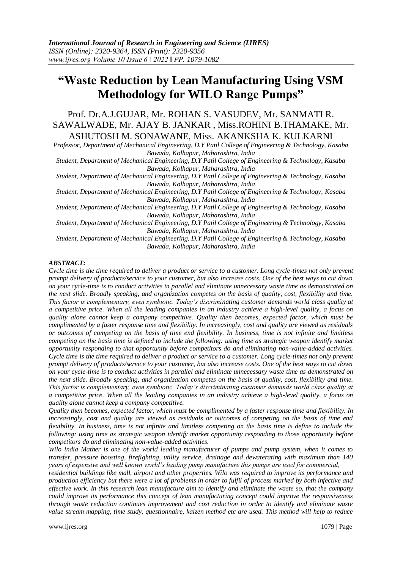# **"Waste Reduction by Lean Manufacturing Using VSM Methodology for WILO Range Pumps"**

# Prof. Dr.A.J.GUJAR, Mr. ROHAN S. VASUDEV, Mr. SANMATI R. SAWALWADE, Mr. AJAY B. JANKAR , Miss.ROHINI B.THAMAKE, Mr. ASHUTOSH M. SONAWANE, Miss. AKANKSHA K. KULKARNI

*Professor, Department of Mechanical Engineering, D.Y Patil College of Engineering & Technology, Kasaba Bawada, Kolhapur, Maharashtra, India*

*Student, Department of Mechanical Engineering, D.Y Patil College of Engineering & Technology, Kasaba Bawada, Kolhapur, Maharashtra, India*

*Student, Department of Mechanical Engineering, D.Y Patil College of Engineering & Technology, Kasaba Bawada, Kolhapur, Maharashtra, India*

*Student, Department of Mechanical Engineering, D.Y Patil College of Engineering & Technology, Kasaba Bawada, Kolhapur, Maharashtra, India*

*Student, Department of Mechanical Engineering, D.Y Patil College of Engineering & Technology, Kasaba Bawada, Kolhapur, Maharashtra, India*

*Student, Department of Mechanical Engineering, D.Y Patil College of Engineering & Technology, Kasaba Bawada, Kolhapur, Maharashtra, India*

*Student, Department of Mechanical Engineering, D.Y Patil College of Engineering & Technology, Kasaba Bawada, Kolhapur, Maharashtra, India*

# *ABSTRACT:*

*Cycle time is the time required to deliver a product or service to a customer. Long cycle-times not only prevent prompt delivery of products/service to your customer, but also increase costs. One of the best ways to cut down on your cycle-time is to conduct activities in parallel and eliminate unnecessary waste time as demonstrated on the next slide. Broadly speaking, and organization competes on the basis of quality, cost, flexibility and time. This factor is complementary, even symbiotic. Today's discriminating customer demands world class quality at a competitive price. When all the leading companies in an industry achieve a high-level quality, a focus on quality alone cannot keep a company competitive. Quality then becomes, expected factor, which must be complimented by a faster response time and flexibility. In increasingly, cost and quality are viewed as residuals or outcomes of competing on the basis of time end flexibility. In business, time is not infinite and limitless competing on the basis time is defined to include the following: using time as strategic weapon identify market opportunity responding to that opportunity before competitors do and eliminating non-value-added activities. Cycle time is the time required to deliver a product or service to a customer. Long cycle-times not only prevent prompt delivery of products/service to your customer, but also increase costs. One of the best ways to cut down on your cycle-time is to conduct activities in parallel and eliminate unnecessary waste time as demonstrated on the next slide. Broadly speaking, and organization competes on the basis of quality, cost, flexibility and time. This factor is complementary, even symbiotic. Today's discriminating customer demands world class quality at a competitive price. When all the leading companies in an industry achieve a high-level quality, a focus on quality alone cannot keep a company competitive.*

*Quality then becomes, expected factor, which must be complimented by a faster response time and flexibility. In increasingly, cost and quality are viewed as residuals or outcomes of competing on the basis of time end flexibility. In business, time is not infinite and limitless competing on the basis time is define to include the following: using time as strategic weapon identify market opportunity responding to those opportunity before competitors do and eliminating non-value-added activities.*

*Wilo india Mather is one of the world leading manufacturer of pumps and pump system, when it comes to transfer, pressure boosting, firefighting, utility service, drainage and dewaterating with maximum than 140 years of expensive and well known world's leading pump manufacture this pumps are used for commercial,*

*residential buildings like mall, airport and other properties. Wilo was required to improve its performance and production efficiency but there were a lot of problems in order to fulfil of process marked by both infective and effective work. In this research lean manufacture aim to identify and eliminate the waste so, that the company could improve its performance this concept of lean manufacturing concept could improve the responsiveness through waste reduction continues improvement and cost reduction in order to identify and eliminate waste value stream mapping, time study, questionnaire, kaizen method etc are used. This method will help to reduce*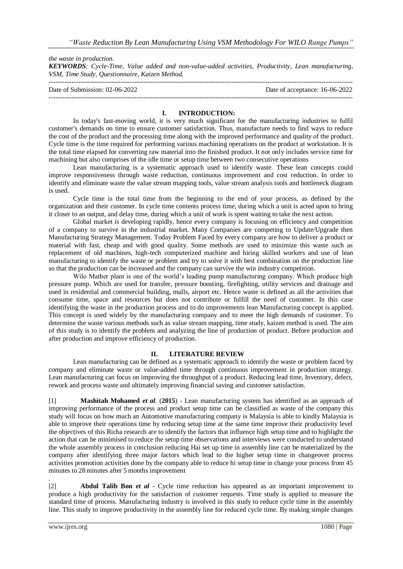*the waste in production. KEYWORDS: Cycle-Time, Value added and non-value-added activities, Productivity, Lean manufacturing, VSM, Time Study, Questionnaire, Kaizen Method.*

| Date of Submission: 02-06-2022 | Date of acceptance: 16-06-2022 |
|--------------------------------|--------------------------------|
|                                |                                |

### **I. INTRODUCTION:**

In today's fast-moving world, it is very much significant for the manufacturing industries to fulfil customer's demands on time to ensure customer satisfaction. Thus, manufacture needs to find ways to reduce the cost of the product and the processing time along with the improved performance and quality of the product. Cycle time is the time required for performing various machining operations on the product at workstation. It is the total time elapsed for converting raw material into the finished product. It not only includes service time for machining but also comprises of the idle time or setup time between two consecutive operations

Lean manufacturing is a systematic approach used to identify waste. These lean concepts could improve responsiveness through waste reduction, continuous improvement and cost reduction. In order to identify and eliminate waste the value stream mapping tools, value stream analysis tools and bottleneck diagram is used.

Cycle time is the total time from the beginning to the end of your process, as defined by the organization and their customer. In cycle time contents process time, during which a unit is acted upon to bring it closer to an output, and delay time, during which a unit of work is spent waiting to take the next action.

Global market is developing rapidly, hence every company is focusing on efficiency and competition of a company to survive in the industrial market. Many Companies are competing to Update/Upgrade then Manufacturing Strategy Management. Today Problem Faced by every company are how to deliver a product or material with fast, cheap and with good quality. Some methods are used to minimize this waste such as replacement of old machines, high-tech computerized machine and hiring skilled workers and use of lean manufacturing to identify the waste or problem and try to solve it with best combination on the production line so that the production can be increased and the company can survive the win industry competition.

Wilo Mather plant is one of the world's leading pump manufacturing company. Which produce high pressure pump. Which are used for transfer, pressure boosting, firefighting, utility services and drainage and used in residential and commercial building, malls, airport etc. Hence waste is defined as all the activities that consume time, space and resources but does not contribute or fulfill the need of customer. In this case identifying the waste in the production process and to do improvements lean Manufacturing concept is applied. This concept is used widely by the manufacturing company and to meet the high demands of customer. To determine the waste various methods such as value stream mapping, time study, kaizen method is used. The aim of this study is to identify the problem and analyzing the line of production of product. Before production and after production and improve efficiency of production.

#### **II. LITERATURE REVIEW**

Lean manufacturing can be defined as a systematic approach to identify the waste or problem faced by company and eliminate waste or value-added time through continuous improvement in production strategy. Lean manufacturing can focus on improving the throughput of a product. Reducing lead time, Inventory, defect, rework and process waste and ultimately improving financial saving and customer satisfaction.

[1] **Mashitah Mohamed** *et al*. (**2015**) - Lean manufacturing system has identified as an approach of improving performance of the process and product setup time can be classified as waste of the company this study will focus on how much an Automotive manufacturing company is Malaysia is able to kindly Malaysia is able to improve their operations time by reducing setup time at the same time improve their productivity level the objectives of this Richa research are to identify the factors that influence high setup time and to highlight the action that can be minimised to reduce the setup time observations and interviews were conducted to understand the whole assembly process in conclusion reducing Hai set up time in assembly line can be materialized by the company after identifying three major factors which lead to the higher setup time in changeover process activities promotion activities done by the company able to reduce hi setup time in change your process from 45 minutes to 28 minutes after 5 months improvement

. [2] **Abdul Talib Bon** *et al* - Cycle time reduction has appeared as an important improvement to produce a high productivity for the satisfaction of customer requests. Time study is applied to measure the standard time of process. Manufacturing industry is involved in this study to reduce cycle time in the assembly line. This study to improve productivity in the assembly line for reduced cycle time. By making simple changes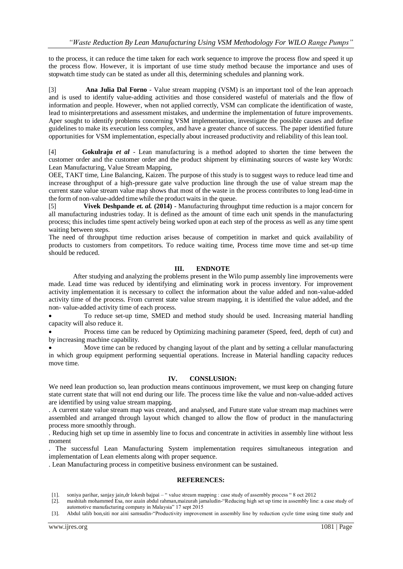to the process, it can reduce the time taken for each work sequence to improve the process flow and speed it up the process flow. However, it is important of use time study method because the importance and uses of stopwatch time study can be stated as under all this, determining schedules and planning work.

[3] **Ana Julia Dal Forno** - Value stream mapping (VSM) is an important tool of the lean approach and is used to identify value-adding activities and those considered wasteful of materials and the flow of information and people. However, when not applied correctly, VSM can complicate the identification of waste, lead to misinterpretations and assessment mistakes, and undermine the implementation of future improvements. Aper sought to identify problems concerning VSM implementation, investigate the possible causes and define guidelines to make its execution less complex, and have a greater chance of success. The paper identified future opportunities for VSM implementation, especially about increased productivity and reliability of this lean tool.

[4] **Gokulraju** *et al* - Lean manufacturing is a method adopted to shorten the time between the customer order and the customer order and the product shipment by eliminating sources of waste key Words: Lean Manufacturing, Value Stream Mapping,

OEE, TAKT time, Line Balancing, Kaizen. The purpose of this study is to suggest ways to reduce lead time and increase throughput of a high-pressure gate valve production line through the use of value stream map the current state value stream value map shows that most of the waste in the process contributes to long lead-time in the form of non-value-added time while the product waits in the queue.

[5] **Vivek Deshpande** *et. al.* **(2014)** - Manufacturing throughput time reduction is a major concern for all manufacturing industries today. It is defined as the amount of time each unit spends in the manufacturing process; this includes time spent actively being worked upon at each step of the process as well as any time spent waiting between steps.

The need of throughput time reduction arises because of competition in market and quick availability of products to customers from competitors. To reduce waiting time, Process time move time and set-up time should be reduced.

# **III. ENDNOTE**

After studying and analyzing the problems present in the Wilo pump assembly line improvements were made. Lead time was reduced by identifying and eliminating work in process inventory. For improvement activity implementation it is necessary to collect the information about the value added and non-value-added activity time of the process. From current state value stream mapping, it is identified the value added, and the non- value-added activity time of each process.

 To reduce set-up time, SMED and method study should be used. Increasing material handling capacity will also reduce it.

 Process time can be reduced by Optimizing machining parameter (Speed, feed, depth of cut) and by increasing machine capability.

 Move time can be reduced by changing layout of the plant and by setting a cellular manufacturing in which group equipment performing sequential operations. Increase in Material handling capacity reduces move time.

#### **IV. CONSLUSION:**

We need lean production so, lean production means continuous improvement, we must keep on changing future state current state that will not end during our life. The process time like the value and non-value-added actives are identified by using value stream mapping.

. A current state value stream map was created, and analysed, and Future state value stream map machines were assembled and arranged through layout which changed to allow the flow of product in the manufacturing process more smoothly through.

. Reducing high set up time in assembly line to focus and concentrate in activities in assembly line without less moment

. The successful Lean Manufacturing System implementation requires simultaneous integration and implementation of Lean elements along with proper sequence.

. Lean Manufacturing process in competitive business environment can be sustained.

#### **REFERENCES:**

- [1]. soniya parihar, sanjay jain,dr lokesh bajpai " value stream mapping : case study of assembly process " 8 oct 2012
- [2]. mashitah mohammed Esa, nor azain abdul rahman,maizurah jamaludin-"Reducing high set up time in assembly line: a case study of automotive manufacturing company in Malaysia" 17 sept 2015
- [3]. Abdul talib bon,siti nor aini samsudin-"Productivity improvement in assembly line by reduction cycle time using time study and